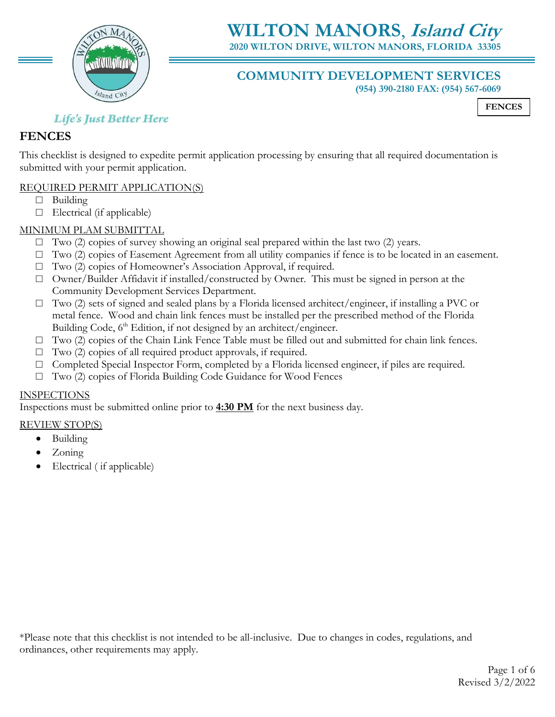

# **WILTON MANORS**, **Island City**

**2020 WILTON DRIVE, WILTON MANORS, FLORIDA 33305**

## **COMMUNITY DEVELOPMENT SERVICES**

**(954) 390-2180 FAX: (954) 567-6069**

**FENCES**

## **Life's Just Better Here**

## **FENCES**

This checklist is designed to expedite permit application processing by ensuring that all required documentation is submitted with your permit application.

## REQUIRED PERMIT APPLICATION(S)

- □ Building
- $\Box$  Electrical (if applicable)

## MINIMUM PLAM SUBMITTAL

- $\Box$  Two (2) copies of survey showing an original seal prepared within the last two (2) years.
- $\Box$  Two (2) copies of Easement Agreement from all utility companies if fence is to be located in an easement.
- □ Two (2) copies of Homeowner's Association Approval, if required.
- □ Owner/Builder Affidavit if installed/constructed by Owner. This must be signed in person at the Community Development Services Department.
- □ Two (2) sets of signed and sealed plans by a Florida licensed architect/engineer, if installing a PVC or metal fence. Wood and chain link fences must be installed per the prescribed method of the Florida Building Code, 6<sup>th</sup> Edition, if not designed by an architect/engineer.
- □ Two (2) copies of the Chain Link Fence Table must be filled out and submitted for chain link fences.
- $\Box$  Two (2) copies of all required product approvals, if required.
- $\Box$  Completed Special Inspector Form, completed by a Florida licensed engineer, if piles are required.
- □ Two (2) copies of Florida Building Code Guidance for Wood Fences

## INSPECTIONS

Inspections must be submitted online prior to **4:30 PM** for the next business day.

## REVIEW STOP(S)

- Building
- Zoning
- Electrical (if applicable)

\*Please note that this checklist is not intended to be all-inclusive. Due to changes in codes, regulations, and ordinances, other requirements may apply.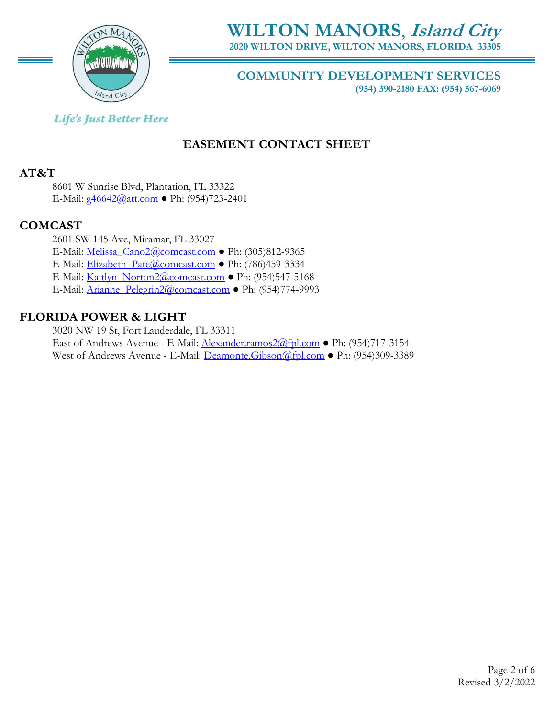

**WILTON MANORS**, **Island City 2020 WILTON DRIVE, WILTON MANORS, FLORIDA 33305**

## **COMMUNITY DEVELOPMENT SERVICES**

**(954) 390-2180 FAX: (954) 567-6069**

## **Life's Just Better Here**

## **EASEMENT CONTACT SHEET**

## **AT&T**

8601 W Sunrise Blvd, Plantation, FL 33322 E-Mail: [g46642@att.com](mailto:g46642@att.com) ● Ph: (954)723-2401

## **COMCAST**

2601 SW 145 Ave, Miramar, FL 33027 E-Mail: [Melissa\\_Cano2@comcast.com](mailto:Melissa_Cano2@comcast.com) ● Ph: (305)812-9365 E-Mail: [Elizabeth\\_Pate@comcast.com](mailto:Elizabeth_Pate@comcast.com) ● Ph: (786)459-3334 E-Mail: [Kaitlyn\\_Norton2@comcast.com](mailto:Kaitlyn_Norton2@comcast.com) ● Ph: (954)547-5168 E-Mail: [Arianne\\_Pelegrin2@comcast.com](mailto:Arianne_Pelegrin2@comcast.com) ● Ph: (954)774-9993

## **FLORIDA POWER & LIGHT**

3020 NW 19 St, Fort Lauderdale, FL 33311 East of Andrews Avenue - E-Mail: [Alexander.ramos2@fpl.com](mailto:Alexander.ramos2@fpl.com) ● Ph: (954)717-3154 West of Andrews Avenue - E-Mail: [Deamonte.Gibson@fpl.com](mailto:Deamonte.Gibson@fpl.com) ● Ph: (954)309-3389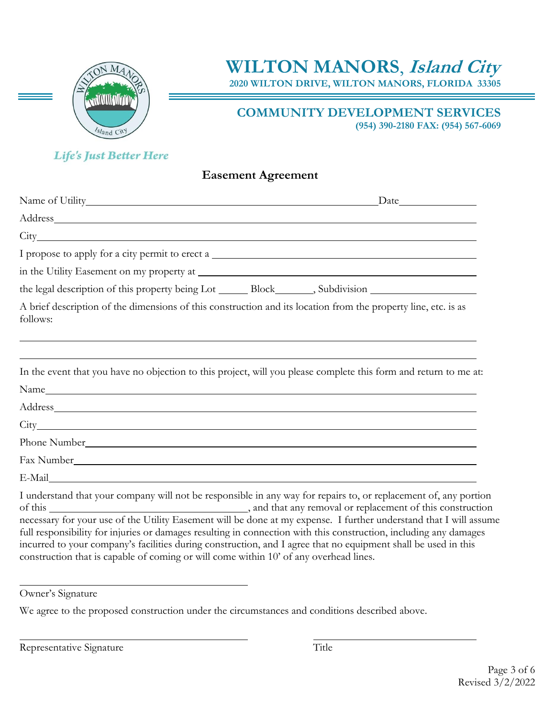

**WILTON MANORS**, **Island City**

**2020 WILTON DRIVE, WILTON MANORS, FLORIDA 33305**

## **COMMUNITY DEVELOPMENT SERVICES**

**(954) 390-2180 FAX: (954) 567-6069**

## **Life's Just Better Here**

## **Easement Agreement**

| Name of Utility_                                                                                                                                                                                                                       |  |
|----------------------------------------------------------------------------------------------------------------------------------------------------------------------------------------------------------------------------------------|--|
| Address and the contract of the contract of the contract of the contract of the contract of the contract of the contract of the contract of the contract of the contract of the contract of the contract of the contract of th         |  |
|                                                                                                                                                                                                                                        |  |
| I propose to apply for a city permit to erect a                                                                                                                                                                                        |  |
|                                                                                                                                                                                                                                        |  |
|                                                                                                                                                                                                                                        |  |
| A brief description of the dimensions of this construction and its location from the property line, etc. is as<br>follows:                                                                                                             |  |
|                                                                                                                                                                                                                                        |  |
| In the event that you have no objection to this project, will you please complete this form and return to me at:                                                                                                                       |  |
|                                                                                                                                                                                                                                        |  |
| Address and the contract of the contract of the contract of the contract of the contract of the contract of the contract of the contract of the contract of the contract of the contract of the contract of the contract of th         |  |
|                                                                                                                                                                                                                                        |  |
|                                                                                                                                                                                                                                        |  |
|                                                                                                                                                                                                                                        |  |
|                                                                                                                                                                                                                                        |  |
| I understand that your company will not be responsible in any way for repairs to, or replacement of, any portion<br>necessary for your use of the Utility Easement will be done at my expense. I further understand that I will assume |  |

full responsibility for injuries or damages resulting in connection with this construction, including any damages incurred to your company's facilities during construction, and I agree that no equipment shall be used in this construction that is capable of coming or will come within 10' of any overhead lines.

Owner's Signature

We agree to the proposed construction under the circumstances and conditions described above.

Representative Signature Title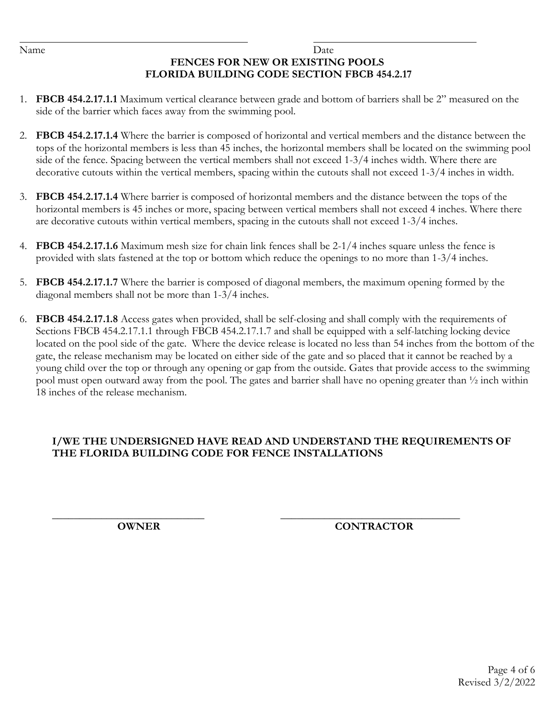### Name Date **FENCES FOR NEW OR EXISTING POOLS FLORIDA BUILDING CODE SECTION FBCB 454.2.17**

- 1. **FBCB 454.2.17.1.1** Maximum vertical clearance between grade and bottom of barriers shall be 2" measured on the side of the barrier which faces away from the swimming pool.
- 2. **FBCB 454.2.17.1.4** Where the barrier is composed of horizontal and vertical members and the distance between the tops of the horizontal members is less than 45 inches, the horizontal members shall be located on the swimming pool side of the fence. Spacing between the vertical members shall not exceed 1-3/4 inches width. Where there are decorative cutouts within the vertical members, spacing within the cutouts shall not exceed 1-3/4 inches in width.
- 3. **FBCB 454.2.17.1.4** Where barrier is composed of horizontal members and the distance between the tops of the horizontal members is 45 inches or more, spacing between vertical members shall not exceed 4 inches. Where there are decorative cutouts within vertical members, spacing in the cutouts shall not exceed 1-3/4 inches.
- 4. **FBCB 454.2.17.1.6** Maximum mesh size for chain link fences shall be 2-1/4 inches square unless the fence is provided with slats fastened at the top or bottom which reduce the openings to no more than 1-3/4 inches.
- 5. **FBCB 454.2.17.1.7** Where the barrier is composed of diagonal members, the maximum opening formed by the diagonal members shall not be more than 1-3/4 inches.
- 6. **FBCB 454.2.17.1.8** Access gates when provided, shall be self-closing and shall comply with the requirements of Sections FBCB 454.2.17.1.1 through FBCB 454.2.17.1.7 and shall be equipped with a self-latching locking device located on the pool side of the gate. Where the device release is located no less than 54 inches from the bottom of the gate, the release mechanism may be located on either side of the gate and so placed that it cannot be reached by a young child over the top or through any opening or gap from the outside. Gates that provide access to the swimming pool must open outward away from the pool. The gates and barrier shall have no opening greater than ½ inch within 18 inches of the release mechanism.

## **I/WE THE UNDERSIGNED HAVE READ AND UNDERSTAND THE REQUIREMENTS OF THE FLORIDA BUILDING CODE FOR FENCE INSTALLATIONS**

### **\_\_\_\_\_\_\_\_\_\_\_\_\_\_\_\_\_\_\_\_\_\_\_\_\_\_\_\_ \_\_\_\_\_\_\_\_\_\_\_\_\_\_\_\_\_\_\_\_\_\_\_\_\_\_\_\_\_\_\_\_\_ OWNER CONTRACTOR**

Page 4 of 6 Revised 3/2/2022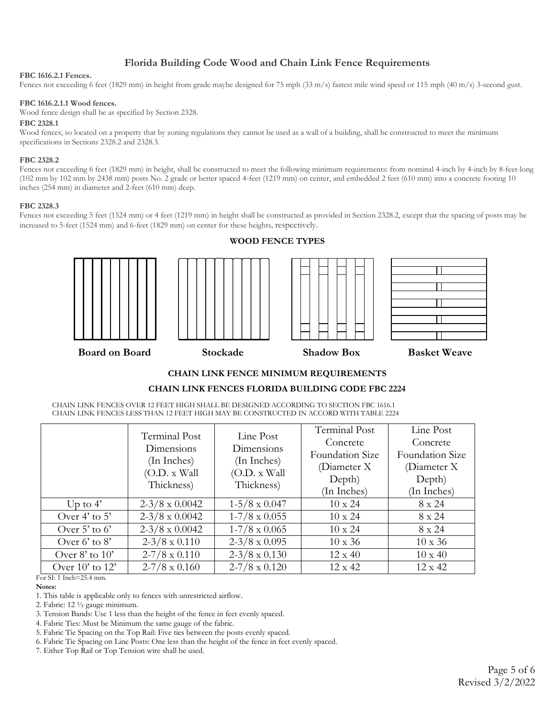### **Florida Building Code Wood and Chain Link Fence Requirements**

### **FBC 1616.2.1 Fences.**

Fences not exceeding 6 feet (1829 mm) in height from grade maybe designed for 75 mph (33 m/s) fastest mile wind speed or 115 mph (40 m/s) 3-second gust.

### **FBC 1616.2.1.1 Wood fences.**

Wood fence design shall be as specified by Section 2328.

### **FBC 2328.1**

Wood fences, so located on a property that by zoning regulations they cannot be used as a wall of a building, shall be constructed to meet the minimum specifications in Sections 2328.2 and 2328.3.

### **FBC 2328.2**

Fences not exceeding 6 feet (1829 mm) in height, shall be constructed to meet the following minimum requirements: from nominal 4-inch by 4-inch by 8-feet-long (102 mm by 102 mm by 2438 mm) posts No. 2 grade or better spaced 4-feet (1219 mm) on center, and embedded 2 feet (610 mm) into a concrete footing 10 inches (254 mm) in diameter and 2-feet (610 mm) deep.

### **FBC 2328.3**

Fences not exceeding 5 feet (1524 mm) or 4 feet (1219 mm) in height shall be constructed as provided in Section 2328.2, except that the spacing of posts may be increased to 5-feet (1524 mm) and 6-feet (1829 mm) on center for these heights, respectively.





### **WOOD FENCE TYPES**





### **CHAIN LINK FENCE MINIMUM REQUIREMENTS**

### **CHAIN LINK FENCES FLORIDA BUILDING CODE FBC 2224**

CHAIN LINK FENCES OVER 12 FEET HIGH SHALL BE DESIGNED ACCORDING TO SECTION FBC 1616.1 CHAIN LINK FENCES LESS THAN 12 FEET HIGH MAY BE CONSTRUCTED IN ACCORD WITH TABLE 2224

|                          | Terminal Post         | Line Post            | Terminal Post   | Line Post       |
|--------------------------|-----------------------|----------------------|-----------------|-----------------|
| Dimensions<br>Dimensions | Concrete              | Concrete             |                 |                 |
|                          | (In Inches)           | (In Inches)          | Foundation Size | Foundation Size |
|                          | (O.D. x Wall)         | (O.D. x Wall)        | (Diameter X)    | (Diameter X)    |
|                          | Thickness)            | Thickness)           | Depth)          | Depth)          |
|                          |                       |                      | (In Inches)     | (In Inches)     |
| Up to $4'$               | $2-3/8 \times 0.0042$ | $1-5/8 \times 0.047$ | $10 \times 24$  | 8 x 24          |
| Over $4'$ to $5'$        | $2-3/8 \times 0.0042$ | $1-7/8 \times 0.055$ | $10 \times 24$  | $8 \times 24$   |
| Over 5' to $6'$          | $2-3/8 \times 0.0042$ | $1-7/8 \times 0.065$ | $10 \times 24$  | 8 x 24          |
| Over 6' to $8'$          | $2-3/8 \times 0.110$  | $2-3/8 \times 0.095$ | $10 \times 36$  | $10 \times 36$  |
| Over $8'$ to $10'$       | $2-7/8 \times 0.110$  | $2-3/8 \times 0.130$ | $12 \times 40$  | $10 \times 40$  |
| Over $10'$ to $12'$      | $2-7/8 \times 0.160$  | $2-7/8 \times 0.120$ | 12 x 42         | $12 \times 42$  |

For SI: 1 Inch=25.4 mm.

### **Notes:**

- 1. This table is applicable only to fences with unrestricted airflow.
- 2. Fabric: 12 ½ gauge minimum.
- 3. Tension Bands: Use 1 less than the height of the fence in feet evenly spaced.
- 4. Fabric Ties: Must be Minimum the same gauge of the fabric.
- 5. Fabric Tie Spacing on the Top Rail: Five ties between the posts evenly spaced.
- 6. Fabric Tie Spacing on Line Posts: One less than the height of the fence in feet evenly spaced.
- 7. Either Top Rail or Top Tension wire shall be used.